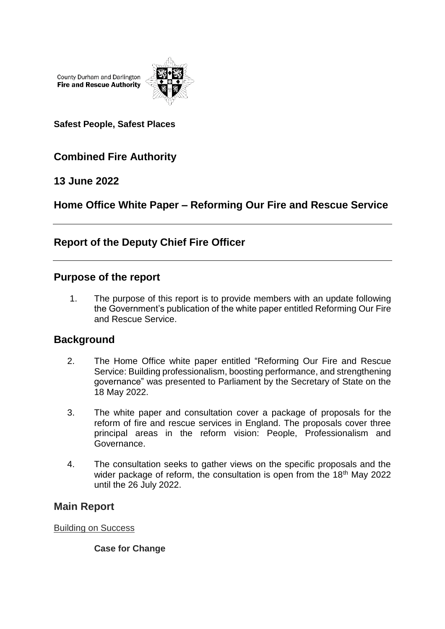County Durham and Darlington **Fire and Rescue Authority** 



**Safest People, Safest Places**

# **Combined Fire Authority**

## **13 June 2022**

# **Home Office White Paper – Reforming Our Fire and Rescue Service**

## **Report of the Deputy Chief Fire Officer**

## **Purpose of the report**

1. The purpose of this report is to provide members with an update following the Government's publication of the white paper entitled Reforming Our Fire and Rescue Service.

## **Background**

- 2. The Home Office white paper entitled "Reforming Our Fire and Rescue Service: Building professionalism, boosting performance, and strengthening governance" was presented to Parliament by the Secretary of State on the 18 May 2022.
- 3. The white paper and consultation cover a package of proposals for the reform of fire and rescue services in England. The proposals cover three principal areas in the reform vision: People, Professionalism and Governance.
- 4. The consultation seeks to gather views on the specific proposals and the wider package of reform, the consultation is open from the 18<sup>th</sup> May 2022 until the 26 July 2022.

## **Main Report**

Building on Success

**Case for Change**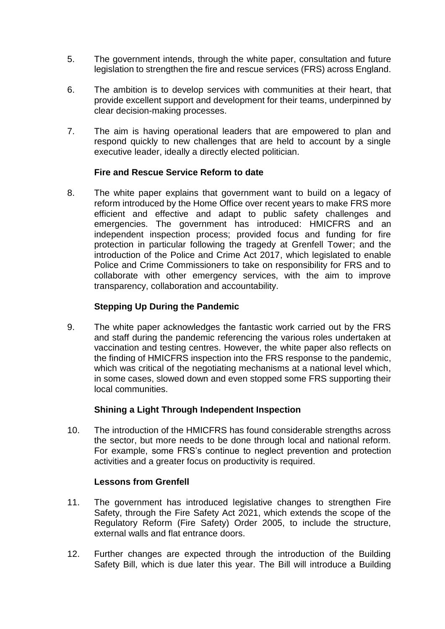- 5. The government intends, through the white paper, consultation and future legislation to strengthen the fire and rescue services (FRS) across England.
- 6. The ambition is to develop services with communities at their heart, that provide excellent support and development for their teams, underpinned by clear decision-making processes.
- 7. The aim is having operational leaders that are empowered to plan and respond quickly to new challenges that are held to account by a single executive leader, ideally a directly elected politician.

#### **Fire and Rescue Service Reform to date**

8. The white paper explains that government want to build on a legacy of reform introduced by the Home Office over recent years to make FRS more efficient and effective and adapt to public safety challenges and emergencies. The government has introduced: HMICFRS and an independent inspection process; provided focus and funding for fire protection in particular following the tragedy at Grenfell Tower; and the introduction of the Police and Crime Act 2017, which legislated to enable Police and Crime Commissioners to take on responsibility for FRS and to collaborate with other emergency services, with the aim to improve transparency, collaboration and accountability.

### **Stepping Up During the Pandemic**

9. The white paper acknowledges the fantastic work carried out by the FRS and staff during the pandemic referencing the various roles undertaken at vaccination and testing centres. However, the white paper also reflects on the finding of HMICFRS inspection into the FRS response to the pandemic, which was critical of the negotiating mechanisms at a national level which, in some cases, slowed down and even stopped some FRS supporting their local communities.

#### **Shining a Light Through Independent Inspection**

10. The introduction of the HMICFRS has found considerable strengths across the sector, but more needs to be done through local and national reform. For example, some FRS's continue to neglect prevention and protection activities and a greater focus on productivity is required.

#### **Lessons from Grenfell**

- 11. The government has introduced legislative changes to strengthen Fire Safety, through the Fire Safety Act 2021, which extends the scope of the Regulatory Reform (Fire Safety) Order 2005, to include the structure, external walls and flat entrance doors.
- 12. Further changes are expected through the introduction of the Building Safety Bill, which is due later this year. The Bill will introduce a Building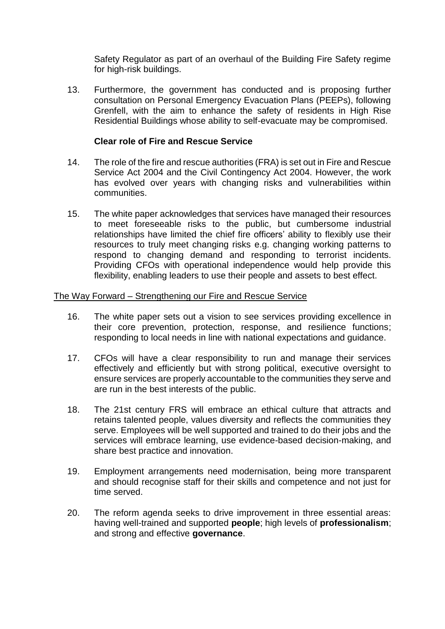Safety Regulator as part of an overhaul of the Building Fire Safety regime for high-risk buildings.

13. Furthermore, the government has conducted and is proposing further consultation on Personal Emergency Evacuation Plans (PEEPs), following Grenfell, with the aim to enhance the safety of residents in High Rise Residential Buildings whose ability to self-evacuate may be compromised.

#### **Clear role of Fire and Rescue Service**

- 14. The role of the fire and rescue authorities (FRA) is set out in Fire and Rescue Service Act 2004 and the Civil Contingency Act 2004. However, the work has evolved over years with changing risks and vulnerabilities within communities.
- 15. The white paper acknowledges that services have managed their resources to meet foreseeable risks to the public, but cumbersome industrial relationships have limited the chief fire officers' ability to flexibly use their resources to truly meet changing risks e.g. changing working patterns to respond to changing demand and responding to terrorist incidents. Providing CFOs with operational independence would help provide this flexibility, enabling leaders to use their people and assets to best effect.

#### The Way Forward – Strengthening our Fire and Rescue Service

- 16. The white paper sets out a vision to see services providing excellence in their core prevention, protection, response, and resilience functions; responding to local needs in line with national expectations and guidance.
- 17. CFOs will have a clear responsibility to run and manage their services effectively and efficiently but with strong political, executive oversight to ensure services are properly accountable to the communities they serve and are run in the best interests of the public.
- 18. The 21st century FRS will embrace an ethical culture that attracts and retains talented people, values diversity and reflects the communities they serve. Employees will be well supported and trained to do their jobs and the services will embrace learning, use evidence-based decision-making, and share best practice and innovation.
- 19. Employment arrangements need modernisation, being more transparent and should recognise staff for their skills and competence and not just for time served.
- 20. The reform agenda seeks to drive improvement in three essential areas: having well-trained and supported **people**; high levels of **professionalism**; and strong and effective **governance**.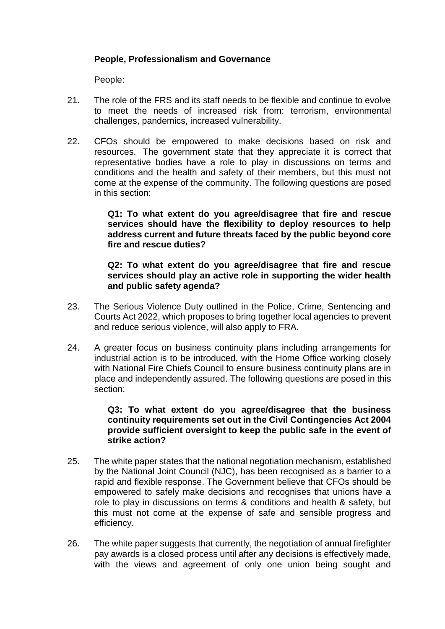## **People, Professionalism and Governance**

People:

- 21. The role of the FRS and its staff needs to be flexible and continue to evolve to meet the needs of increased risk from: terrorism, environmental challenges, pandemics, increased vulnerability.
- 22. CFOs should be empowered to make decisions based on risk and resources. The government state that they appreciate it is correct that representative bodies have a role to play in discussions on terms and conditions and the health and safety of their members, but this must not come at the expense of the community. The following questions are posed in this section:

**Q1: To what extent do you agree/disagree that fire and rescue services should have the flexibility to deploy resources to help address current and future threats faced by the public beyond core fire and rescue duties?**

**Q2: To what extent do you agree/disagree that fire and rescue services should play an active role in supporting the wider health and public safety agenda?**

- 23. The Serious Violence Duty outlined in the Police, Crime, Sentencing and Courts Act 2022, which proposes to bring together local agencies to prevent and reduce serious violence, will also apply to FRA.
- 24. A greater focus on business continuity plans including arrangements for industrial action is to be introduced, with the Home Office working closely with National Fire Chiefs Council to ensure business continuity plans are in place and independently assured. The following questions are posed in this section:

#### **Q3: To what extent do you agree/disagree that the business continuity requirements set out in the Civil Contingencies Act 2004 provide sufficient oversight to keep the public safe in the event of strike action?**

- 25. The white paper states that the national negotiation mechanism, established by the National Joint Council (NJC), has been recognised as a barrier to a rapid and flexible response. The Government believe that CFOs should be empowered to safely make decisions and recognises that unions have a role to play in discussions on terms & conditions and health & safety, but this must not come at the expense of safe and sensible progress and efficiency.
- 26. The white paper suggests that currently, the negotiation of annual firefighter pay awards is a closed process until after any decisions is effectively made, with the views and agreement of only one union being sought and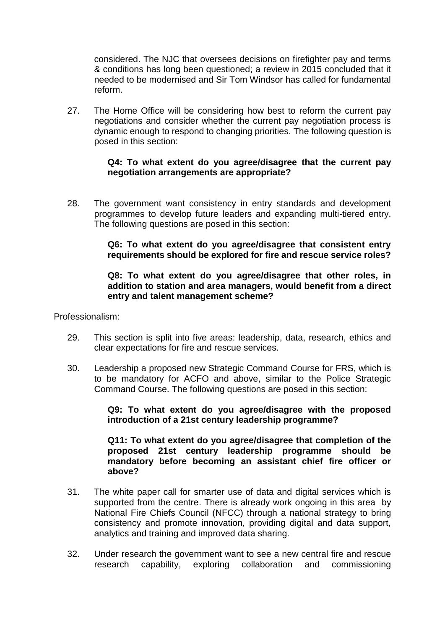considered. The NJC that oversees decisions on firefighter pay and terms & conditions has long been questioned; a review in 2015 concluded that it needed to be modernised and Sir Tom Windsor has called for fundamental reform.

27. The Home Office will be considering how best to reform the current pay negotiations and consider whether the current pay negotiation process is dynamic enough to respond to changing priorities. The following question is posed in this section:

#### **Q4: To what extent do you agree/disagree that the current pay negotiation arrangements are appropriate?**

28. The government want consistency in entry standards and development programmes to develop future leaders and expanding multi-tiered entry. The following questions are posed in this section:

#### **Q6: To what extent do you agree/disagree that consistent entry requirements should be explored for fire and rescue service roles?**

#### **Q8: To what extent do you agree/disagree that other roles, in addition to station and area managers, would benefit from a direct entry and talent management scheme?**

Professionalism:

- 29. This section is split into five areas: leadership, data, research, ethics and clear expectations for fire and rescue services.
- 30. Leadership a proposed new Strategic Command Course for FRS, which is to be mandatory for ACFO and above, similar to the Police Strategic Command Course. The following questions are posed in this section:

#### **Q9: To what extent do you agree/disagree with the proposed introduction of a 21st century leadership programme?**

**Q11: To what extent do you agree/disagree that completion of the proposed 21st century leadership programme should be mandatory before becoming an assistant chief fire officer or above?**

- 31. The white paper call for smarter use of data and digital services which is supported from the centre. There is already work ongoing in this area by National Fire Chiefs Council (NFCC) through a national strategy to bring consistency and promote innovation, providing digital and data support, analytics and training and improved data sharing.
- 32. Under research the government want to see a new central fire and rescue research capability, exploring collaboration and commissioning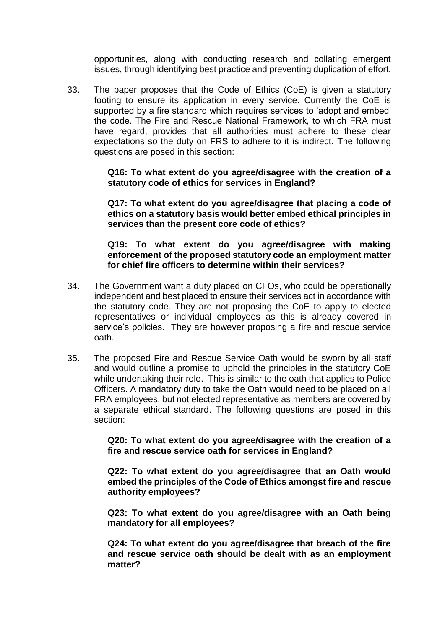opportunities, along with conducting research and collating emergent issues, through identifying best practice and preventing duplication of effort.

33. The paper proposes that the Code of Ethics (CoE) is given a statutory footing to ensure its application in every service. Currently the CoE is supported by a fire standard which requires services to 'adopt and embed' the code. The Fire and Rescue National Framework, to which FRA must have regard, provides that all authorities must adhere to these clear expectations so the duty on FRS to adhere to it is indirect. The following questions are posed in this section:

> **Q16: To what extent do you agree/disagree with the creation of a statutory code of ethics for services in England?**

> **Q17: To what extent do you agree/disagree that placing a code of ethics on a statutory basis would better embed ethical principles in services than the present core code of ethics?**

> **Q19: To what extent do you agree/disagree with making enforcement of the proposed statutory code an employment matter for chief fire officers to determine within their services?**

- 34. The Government want a duty placed on CFOs, who could be operationally independent and best placed to ensure their services act in accordance with the statutory code. They are not proposing the CoE to apply to elected representatives or individual employees as this is already covered in service's policies. They are however proposing a fire and rescue service oath.
- 35. The proposed Fire and Rescue Service Oath would be sworn by all staff and would outline a promise to uphold the principles in the statutory CoE while undertaking their role. This is similar to the oath that applies to Police Officers. A mandatory duty to take the Oath would need to be placed on all FRA employees, but not elected representative as members are covered by a separate ethical standard. The following questions are posed in this section:

**Q20: To what extent do you agree/disagree with the creation of a fire and rescue service oath for services in England?**

**Q22: To what extent do you agree/disagree that an Oath would embed the principles of the Code of Ethics amongst fire and rescue authority employees?**

**Q23: To what extent do you agree/disagree with an Oath being mandatory for all employees?**

**Q24: To what extent do you agree/disagree that breach of the fire and rescue service oath should be dealt with as an employment matter?**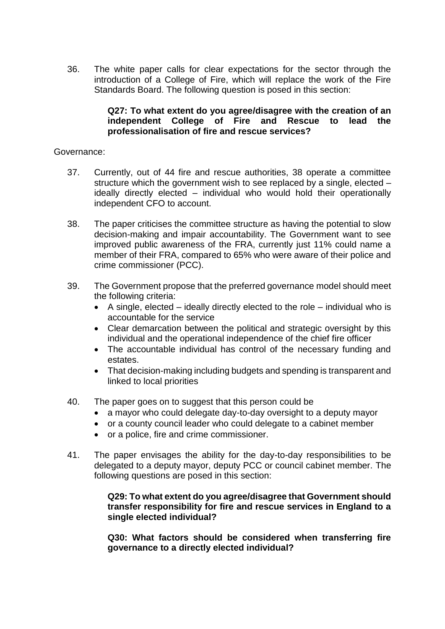36. The white paper calls for clear expectations for the sector through the introduction of a College of Fire, which will replace the work of the Fire Standards Board. The following question is posed in this section:

#### **Q27: To what extent do you agree/disagree with the creation of an independent College of Fire and Rescue to lead the professionalisation of fire and rescue services?**

#### Governance:

- 37. Currently, out of 44 fire and rescue authorities, 38 operate a committee structure which the government wish to see replaced by a single, elected – ideally directly elected – individual who would hold their operationally independent CFO to account.
- 38. The paper criticises the committee structure as having the potential to slow decision-making and impair accountability. The Government want to see improved public awareness of the FRA, currently just 11% could name a member of their FRA, compared to 65% who were aware of their police and crime commissioner (PCC).
- 39. The Government propose that the preferred governance model should meet the following criteria:
	- $\bullet$  A single, elected ideally directly elected to the role individual who is accountable for the service
	- Clear demarcation between the political and strategic oversight by this individual and the operational independence of the chief fire officer
	- The accountable individual has control of the necessary funding and estates.
	- That decision-making including budgets and spending is transparent and linked to local priorities
- 40. The paper goes on to suggest that this person could be
	- a mayor who could delegate day-to-day oversight to a deputy mayor
	- or a county council leader who could delegate to a cabinet member
	- or a police, fire and crime commissioner.
- 41. The paper envisages the ability for the day-to-day responsibilities to be delegated to a deputy mayor, deputy PCC or council cabinet member. The following questions are posed in this section:

#### **Q29: To what extent do you agree/disagree that Government should transfer responsibility for fire and rescue services in England to a single elected individual?**

**Q30: What factors should be considered when transferring fire governance to a directly elected individual?**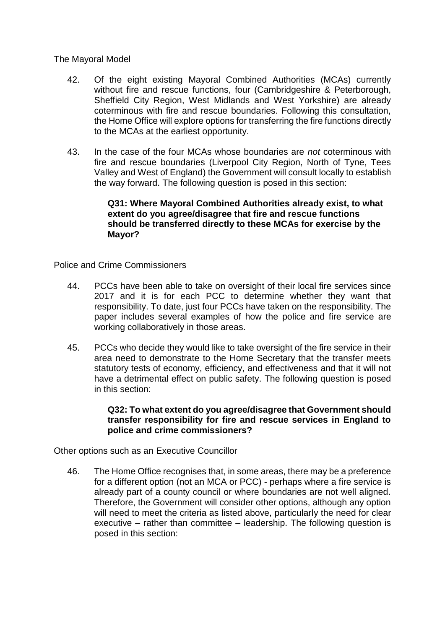The Mayoral Model

- 42. Of the eight existing Mayoral Combined Authorities (MCAs) currently without fire and rescue functions, four (Cambridgeshire & Peterborough, Sheffield City Region, West Midlands and West Yorkshire) are already coterminous with fire and rescue boundaries. Following this consultation, the Home Office will explore options for transferring the fire functions directly to the MCAs at the earliest opportunity.
- 43. In the case of the four MCAs whose boundaries are *not* coterminous with fire and rescue boundaries (Liverpool City Region, North of Tyne, Tees Valley and West of England) the Government will consult locally to establish the way forward. The following question is posed in this section:

#### **Q31: Where Mayoral Combined Authorities already exist, to what extent do you agree/disagree that fire and rescue functions should be transferred directly to these MCAs for exercise by the Mayor?**

Police and Crime Commissioners

- 44. PCCs have been able to take on oversight of their local fire services since 2017 and it is for each PCC to determine whether they want that responsibility. To date, just four PCCs have taken on the responsibility. The paper includes several examples of how the police and fire service are working collaboratively in those areas.
- 45. PCCs who decide they would like to take oversight of the fire service in their area need to demonstrate to the Home Secretary that the transfer meets statutory tests of economy, efficiency, and effectiveness and that it will not have a detrimental effect on public safety. The following question is posed in this section:

#### **Q32: To what extent do you agree/disagree that Government should transfer responsibility for fire and rescue services in England to police and crime commissioners?**

Other options such as an Executive Councillor

46. The Home Office recognises that, in some areas, there may be a preference for a different option (not an MCA or PCC) - perhaps where a fire service is already part of a county council or where boundaries are not well aligned. Therefore, the Government will consider other options, although any option will need to meet the criteria as listed above, particularly the need for clear executive – rather than committee – leadership. The following question is posed in this section: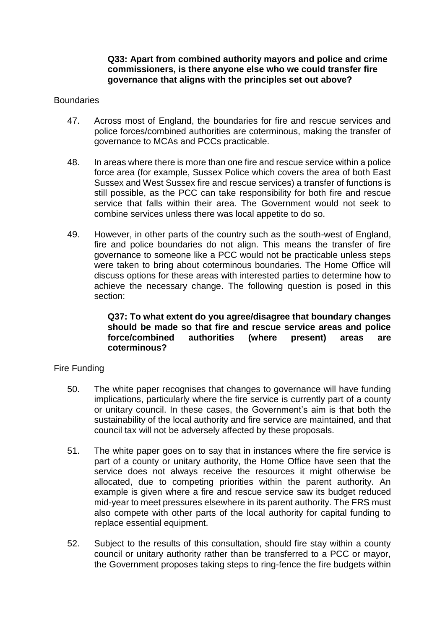#### **Q33: Apart from combined authority mayors and police and crime commissioners, is there anyone else who we could transfer fire governance that aligns with the principles set out above?**

#### Boundaries

- 47. Across most of England, the boundaries for fire and rescue services and police forces/combined authorities are coterminous, making the transfer of governance to MCAs and PCCs practicable.
- 48. In areas where there is more than one fire and rescue service within a police force area (for example, Sussex Police which covers the area of both East Sussex and West Sussex fire and rescue services) a transfer of functions is still possible, as the PCC can take responsibility for both fire and rescue service that falls within their area. The Government would not seek to combine services unless there was local appetite to do so.
- 49. However, in other parts of the country such as the south-west of England, fire and police boundaries do not align. This means the transfer of fire governance to someone like a PCC would not be practicable unless steps were taken to bring about coterminous boundaries. The Home Office will discuss options for these areas with interested parties to determine how to achieve the necessary change. The following question is posed in this section:

#### **Q37: To what extent do you agree/disagree that boundary changes should be made so that fire and rescue service areas and police force/combined authorities (where present) areas are coterminous?**

#### Fire Funding

- 50. The white paper recognises that changes to governance will have funding implications, particularly where the fire service is currently part of a county or unitary council. In these cases, the Government's aim is that both the sustainability of the local authority and fire service are maintained, and that council tax will not be adversely affected by these proposals.
- 51. The white paper goes on to say that in instances where the fire service is part of a county or unitary authority, the Home Office have seen that the service does not always receive the resources it might otherwise be allocated, due to competing priorities within the parent authority. An example is given where a fire and rescue service saw its budget reduced mid-year to meet pressures elsewhere in its parent authority. The FRS must also compete with other parts of the local authority for capital funding to replace essential equipment.
- 52. Subject to the results of this consultation, should fire stay within a county council or unitary authority rather than be transferred to a PCC or mayor, the Government proposes taking steps to ring-fence the fire budgets within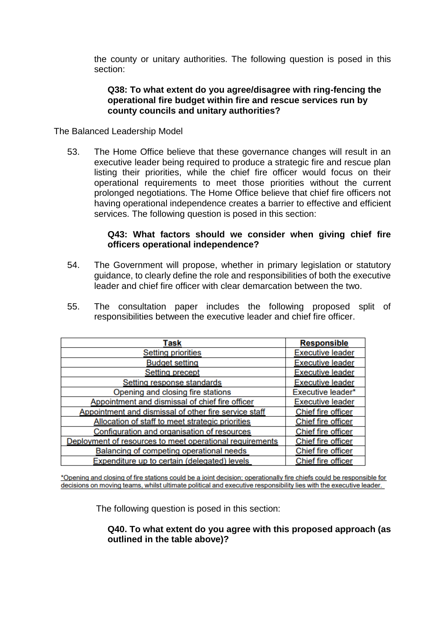the county or unitary authorities. The following question is posed in this section:

#### **Q38: To what extent do you agree/disagree with ring-fencing the operational fire budget within fire and rescue services run by county councils and unitary authorities?**

The Balanced Leadership Model

53. The Home Office believe that these governance changes will result in an executive leader being required to produce a strategic fire and rescue plan listing their priorities, while the chief fire officer would focus on their operational requirements to meet those priorities without the current prolonged negotiations. The Home Office believe that chief fire officers not having operational independence creates a barrier to effective and efficient services. The following question is posed in this section:

#### **Q43: What factors should we consider when giving chief fire officers operational independence?**

- 54. The Government will propose, whether in primary legislation or statutory guidance, to clearly define the role and responsibilities of both the executive leader and chief fire officer with clear demarcation between the two.
- 55. The consultation paper includes the following proposed split of responsibilities between the executive leader and chief fire officer.

| Task                                                     | <b>Responsible</b>        |
|----------------------------------------------------------|---------------------------|
| <b>Setting priorities</b>                                | <b>Executive leader</b>   |
| <b>Budget setting</b>                                    | <b>Executive leader</b>   |
| <b>Setting precept</b>                                   | <b>Executive leader</b>   |
| Setting response standards                               | <b>Executive leader</b>   |
| Opening and closing fire stations                        | Executive leader*         |
| Appointment and dismissal of chief fire officer          | <b>Executive leader</b>   |
| Appointment and dismissal of other fire service staff    | Chief fire officer        |
| Allocation of staff to meet strategic priorities         | <b>Chief fire officer</b> |
| Configuration and organisation of resources              | Chief fire officer        |
| Deployment of resources to meet operational requirements | Chief fire officer        |
| Balancing of competing operational needs                 | Chief fire officer        |
| Expenditure up to certain (delegated) levels             | Chief fire officer        |

\*Opening and closing of fire stations could be a joint decision; operationally fire chiefs could be responsible for decisions on moving teams, whilst ultimate political and executive responsibility lies with the executive leader.

The following question is posed in this section:

#### **Q40. To what extent do you agree with this proposed approach (as outlined in the table above)?**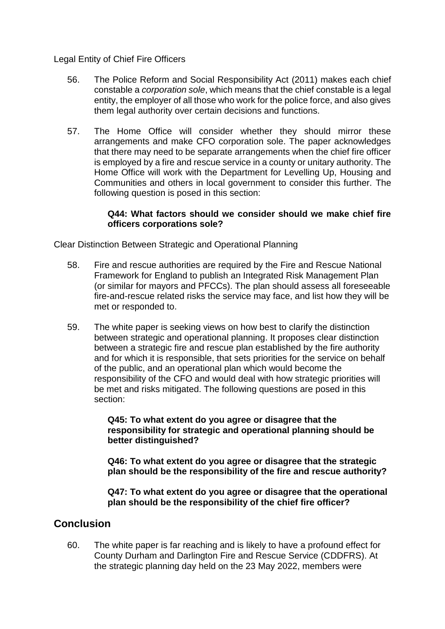Legal Entity of Chief Fire Officers

- 56. The Police Reform and Social Responsibility Act (2011) makes each chief constable a *corporation sole*, which means that the chief constable is a legal entity, the employer of all those who work for the police force, and also gives them legal authority over certain decisions and functions.
- 57. The Home Office will consider whether they should mirror these arrangements and make CFO corporation sole. The paper acknowledges that there may need to be separate arrangements when the chief fire officer is employed by a fire and rescue service in a county or unitary authority. The Home Office will work with the Department for Levelling Up, Housing and Communities and others in local government to consider this further. The following question is posed in this section:

#### **Q44: What factors should we consider should we make chief fire officers corporations sole?**

Clear Distinction Between Strategic and Operational Planning

- 58. Fire and rescue authorities are required by the Fire and Rescue National Framework for England to publish an Integrated Risk Management Plan (or similar for mayors and PFCCs). The plan should assess all foreseeable fire-and-rescue related risks the service may face, and list how they will be met or responded to.
- 59. The white paper is seeking views on how best to clarify the distinction between strategic and operational planning. It proposes clear distinction between a strategic fire and rescue plan established by the fire authority and for which it is responsible, that sets priorities for the service on behalf of the public, and an operational plan which would become the responsibility of the CFO and would deal with how strategic priorities will be met and risks mitigated. The following questions are posed in this section:

**Q45: To what extent do you agree or disagree that the responsibility for strategic and operational planning should be better distinguished?**

**Q46: To what extent do you agree or disagree that the strategic plan should be the responsibility of the fire and rescue authority?**

**Q47: To what extent do you agree or disagree that the operational plan should be the responsibility of the chief fire officer?**

## **Conclusion**

60. The white paper is far reaching and is likely to have a profound effect for County Durham and Darlington Fire and Rescue Service (CDDFRS). At the strategic planning day held on the 23 May 2022, members were